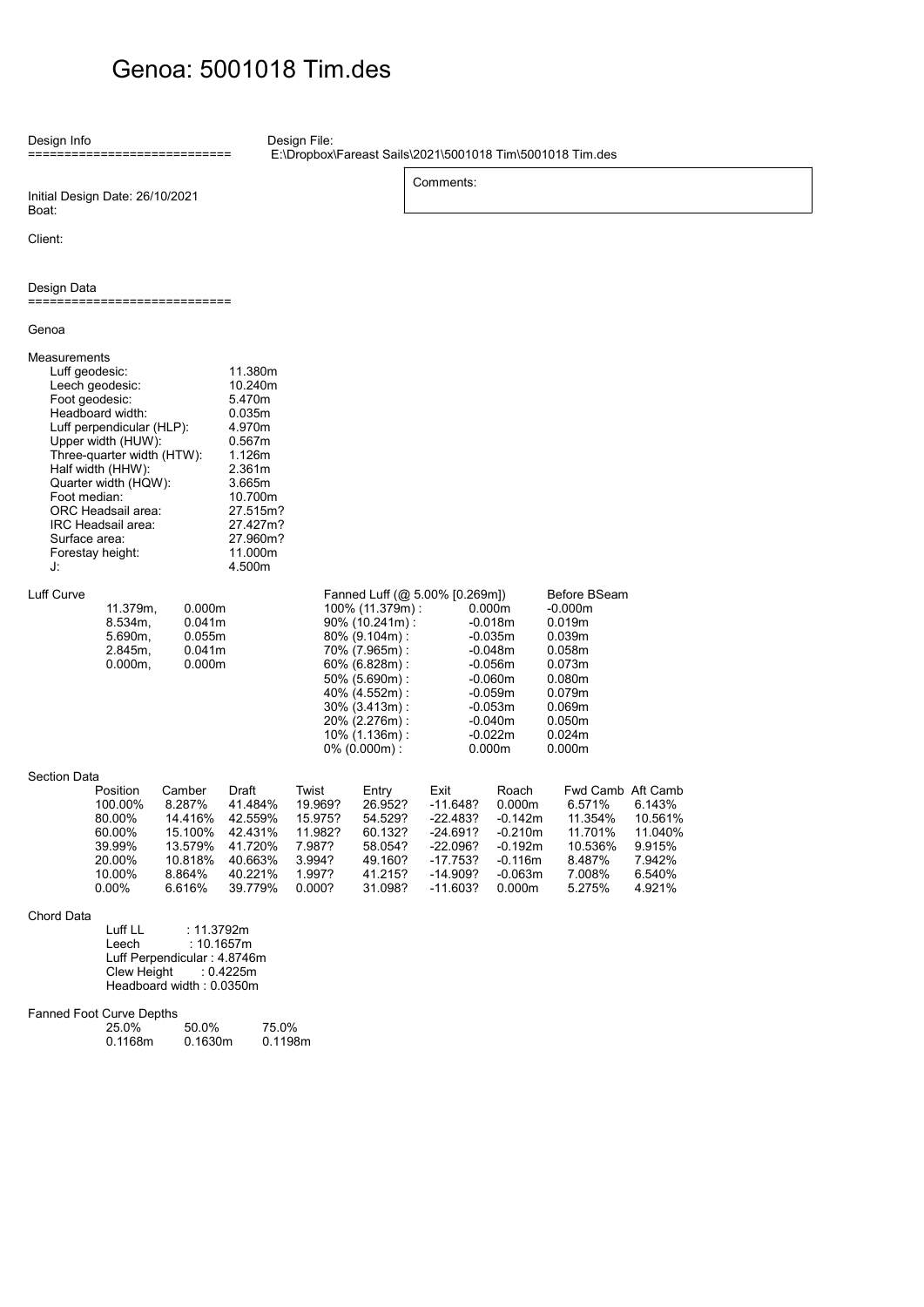## Genoa: 5001018 Tim.des

Design Info ============================

Design File:

 E:\Dropbox\Fareast Sails\2021\5001018 Tim\5001018 Tim.des Comments:

Initial Design Date: 26/10/2021 Boat:

Client:

## Design Data

============================

| Genoa                                                                 |                                                                                                                                                                                                                                                     |                                                                                  |                                                                                                                                                              |                                                                                |                                                                                                                                                                                                                                   |                                                                                                        |                                                                                                                                       |                                                                                                                                           |                                                                      |
|-----------------------------------------------------------------------|-----------------------------------------------------------------------------------------------------------------------------------------------------------------------------------------------------------------------------------------------------|----------------------------------------------------------------------------------|--------------------------------------------------------------------------------------------------------------------------------------------------------------|--------------------------------------------------------------------------------|-----------------------------------------------------------------------------------------------------------------------------------------------------------------------------------------------------------------------------------|--------------------------------------------------------------------------------------------------------|---------------------------------------------------------------------------------------------------------------------------------------|-------------------------------------------------------------------------------------------------------------------------------------------|----------------------------------------------------------------------|
| Measurements<br>Luff geodesic:<br>Foot median:<br>Surface area:<br>J: | Leech geodesic:<br>Foot geodesic:<br>Headboard width:<br>Luff perpendicular (HLP):<br>Upper width (HUW):<br>Three-quarter width (HTW):<br>Half width (HHW):<br>Quarter width (HQW):<br>ORC Headsail area:<br>IRC Headsail area:<br>Forestay height: |                                                                                  | 11.380m<br>10.240m<br>5.470m<br>0.035m<br>4.970m<br>0.567m<br>1.126m<br>2.361m<br>3.665m<br>10.700m<br>27.515m?<br>27.427m?<br>27.960m?<br>11.000m<br>4.500m |                                                                                |                                                                                                                                                                                                                                   |                                                                                                        |                                                                                                                                       |                                                                                                                                           |                                                                      |
| Luff Curve                                                            | 11.379m,<br>$8.534m$ ,<br>5.690m,<br>$2.845m$ ,<br>$0.000m$ ,                                                                                                                                                                                       | 0.000m<br>0.041m<br>0.055m<br>0.041m<br>0.000m                                   |                                                                                                                                                              |                                                                                | Fanned Luff (@ 5.00% [0.269m])<br>100% (11.379m):<br>$90\%$ (10.241m):<br>80% (9.104m):<br>70% (7.965m):<br>60% (6.828m):<br>50% (5.690m):<br>40% (4.552m):<br>30% (3.413m):<br>20% (2.276m):<br>10% (1.136m):<br>$0\%$ (0.000m): |                                                                                                        | 0.000m<br>$-0.018m$<br>$-0.035m$<br>$-0.048m$<br>$-0.056m$<br>$-0.060m$<br>$-0.059m$<br>$-0.053m$<br>$-0.040m$<br>$-0.022m$<br>0.000m | Before BSeam<br>$-0.000m$<br>0.019m<br>0.039m<br>0.058m<br>0.073m<br>0.080m<br>0.079m<br>0.069 <sub>m</sub><br>0.050m<br>0.024m<br>0.000m |                                                                      |
| Section Data                                                          | Position<br>100.00%<br>80.00%<br>60.00%<br>39.99%<br>20.00%<br>10.00%<br>$0.00\%$                                                                                                                                                                   | Camber<br>8.287%<br>14.416%<br>15.100%<br>13.579%<br>10.818%<br>8.864%<br>6.616% | Draft<br>41.484%<br>42.559%<br>42.431%<br>41.720%<br>40.663%<br>40.221%<br>39.779%                                                                           | Twist<br>19.969?<br>15.975?<br>11.982?<br>7.987?<br>3.994?<br>1.997?<br>0.000? | Entry<br>26.952?<br>54.529?<br>60.132?<br>58.054?<br>49.160?<br>41.215?<br>31.098?                                                                                                                                                | Exit<br>$-11.648?$<br>$-22.483?$<br>$-24.691?$<br>$-22.096?$<br>$-17.753?$<br>$-14.909?$<br>$-11.603?$ | Roach<br>0.000m<br>$-0.142m$<br>$-0.210m$<br>$-0.192m$<br>$-0.116m$<br>$-0.063m$<br>0.000m                                            | Fwd Camb Aft Camb<br>6.571%<br>11.354%<br>11.701%<br>10.536%<br>8.487%<br>7.008%<br>5.275%                                                | 6.143%<br>10.561%<br>11.040%<br>9.915%<br>7.942%<br>6.540%<br>4.921% |
| $\bigcap_{n=1}^{\infty}$                                              |                                                                                                                                                                                                                                                     |                                                                                  |                                                                                                                                                              |                                                                                |                                                                                                                                                                                                                                   |                                                                                                        |                                                                                                                                       |                                                                                                                                           |                                                                      |

Chord Data

Luff LL : 11.3792m Leech : 10.1657m Luff Perpendicular : 4.8746m Clew Height : 0.4225m Headboard width : 0.0350m

## Fanned Foot Curve Depths

| 25.0%   | 50.0%   | 75.0%   |
|---------|---------|---------|
| 0.1168m | 0.1630m | 0.1198m |